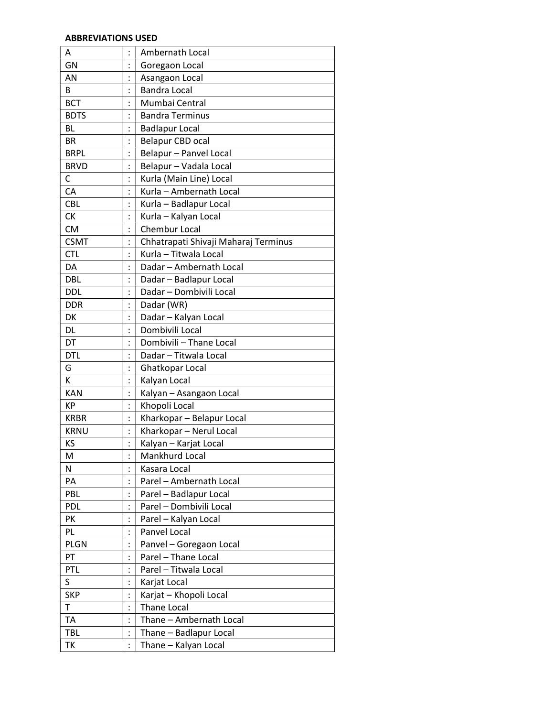## ABBREVIATIONS USED

| Α           | $\vdots$       | Ambernath Local                      |
|-------------|----------------|--------------------------------------|
| GN          |                | Goregaon Local                       |
| AN          |                | Asangaon Local                       |
| В           | $\ddot{\cdot}$ | <b>Bandra Local</b>                  |
| <b>BCT</b>  | $\ddot{\cdot}$ | Mumbai Central                       |
| <b>BDTS</b> |                | <b>Bandra Terminus</b>               |
| BL          | $\ddot{\cdot}$ | <b>Badlapur Local</b>                |
| <b>BR</b>   | $\ddot{\cdot}$ | Belapur CBD ocal                     |
| <b>BRPL</b> |                | Belapur - Panvel Local               |
| <b>BRVD</b> | $\ddot{\cdot}$ | Belapur - Vadala Local               |
| C           | $\ddot{\cdot}$ | Kurla (Main Line) Local              |
| CA          |                | Kurla - Ambernath Local              |
| <b>CBL</b>  |                | Kurla - Badlapur Local               |
| <b>CK</b>   |                | Kurla - Kalyan Local                 |
| <b>CM</b>   | $\vdots$       | Chembur Local                        |
| <b>CSMT</b> |                | Chhatrapati Shivaji Maharaj Terminus |
| <b>CTL</b>  |                | Kurla - Titwala Local                |
| DA          | $\vdots$       | Dadar - Ambernath Local              |
| <b>DBL</b>  |                | Dadar - Badlapur Local               |
| <b>DDL</b>  |                | Dadar - Dombivili Local              |
| <b>DDR</b>  |                | Dadar (WR)                           |
| DK          |                | Dadar - Kalyan Local                 |
| DL          | $\ddot{\cdot}$ | Dombivili Local                      |
| DT          |                | Dombivili - Thane Local              |
| <b>DTL</b>  |                | Dadar - Titwala Local                |
| G           | $\ddot{\cdot}$ | Ghatkopar Local                      |
| K           | $\ddot{\cdot}$ | Kalyan Local                         |
| <b>KAN</b>  |                | Kalyan - Asangaon Local              |
| KP          | $\vdots$       | Khopoli Local                        |
| <b>KRBR</b> |                | Kharkopar - Belapur Local            |
| <b>KRNU</b> |                | Kharkopar - Nerul Local              |
| KS          | $\vdots$       | Kalyan - Karjat Local                |
| M           |                | Mankhurd Local                       |
| Ν           |                | Kasara Local                         |
| PA          |                | Parel - Ambernath Local              |
| PBL         |                | Parel - Badlapur Local               |
| <b>PDL</b>  |                | Parel - Dombivili Local              |
| PK          |                | Parel - Kalyan Local                 |
| PL          | $\ddot{\cdot}$ | Panvel Local                         |
| <b>PLGN</b> |                | Panvel - Goregaon Local              |
| PT          |                | Parel - Thane Local                  |
| PTL         |                | Parel - Titwala Local                |
| S           | $\vdots$       | Karjat Local                         |
| <b>SKP</b>  |                | Karjat - Khopoli Local               |
| T           |                | <b>Thane Local</b>                   |
| <b>TA</b>   | $\vdots$       | Thane - Ambernath Local              |
| <b>TBL</b>  |                | Thane - Badlapur Local               |
| TK          |                | Thane - Kalyan Local                 |